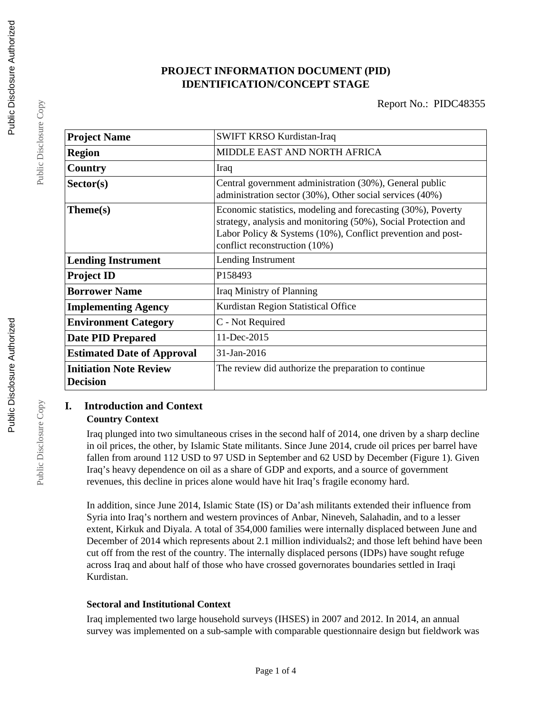## **PROJECT INFORMATION DOCUMENT (PID) IDENTIFICATION/CONCEPT STAGE**

| <b>Project Name</b>               | SWIFT KRSO Kurdistan-Iraq                                                                                                                                                                                                      |
|-----------------------------------|--------------------------------------------------------------------------------------------------------------------------------------------------------------------------------------------------------------------------------|
| <b>Region</b>                     | MIDDLE EAST AND NORTH AFRICA                                                                                                                                                                                                   |
| Country                           | Iraq                                                                                                                                                                                                                           |
| Sector(s)                         | Central government administration (30%), General public<br>administration sector (30%), Other social services (40%)                                                                                                            |
| Theme(s)                          | Economic statistics, modeling and forecasting (30%), Poverty<br>strategy, analysis and monitoring (50%), Social Protection and<br>Labor Policy & Systems (10%), Conflict prevention and post-<br>conflict reconstruction (10%) |
| <b>Lending Instrument</b>         | Lending Instrument                                                                                                                                                                                                             |
| <b>Project ID</b>                 | P158493                                                                                                                                                                                                                        |
| <b>Borrower Name</b>              | Iraq Ministry of Planning                                                                                                                                                                                                      |
| <b>Implementing Agency</b>        | Kurdistan Region Statistical Office                                                                                                                                                                                            |
| <b>Environment Category</b>       | C - Not Required                                                                                                                                                                                                               |
| <b>Date PID Prepared</b>          | 11-Dec-2015                                                                                                                                                                                                                    |
| <b>Estimated Date of Approval</b> | 31-Jan-2016                                                                                                                                                                                                                    |
| <b>Initiation Note Review</b>     | The review did authorize the preparation to continue                                                                                                                                                                           |
| <b>Decision</b>                   |                                                                                                                                                                                                                                |

### **I. Introduction and Context Country Context**

Iraq plunged into two simultaneous crises in the second half of 2014, one driven by a sharp decline in oil prices, the other, by Islamic State militants. Since June 2014, crude oil prices per barrel have fallen from around 112 USD to 97 USD in September and 62 USD by December (Figure 1). Given Iraq's heavy dependence on oil as a share of GDP and exports, and a source of government revenues, this decline in prices alone would have hit Iraq's fragile economy hard.

In addition, since June 2014, Islamic State (IS) or Da'ash militants extended their influence from Syria into Iraq's northern and western provinces of Anbar, Nineveh, Salahadin, and to a lesser extent, Kirkuk and Diyala. A total of 354,000 families were internally displaced between June and December of 2014 which represents about 2.1 million individuals2; and those left behind have been cut off from the rest of the country. The internally displaced persons (IDPs) have sought refuge across Iraq and about half of those who have crossed governorates boundaries settled in Iraqi Kurdistan.

### **Sectoral and Institutional Context**

Iraq implemented two large household surveys (IHSES) in 2007 and 2012. In 2014, an annual survey was implemented on a sub-sample with comparable questionnaire design but fieldwork was

Public Disclosure Copy

Public Disclosure Copy

Public Disclosure Copy

Public Disclosure Copy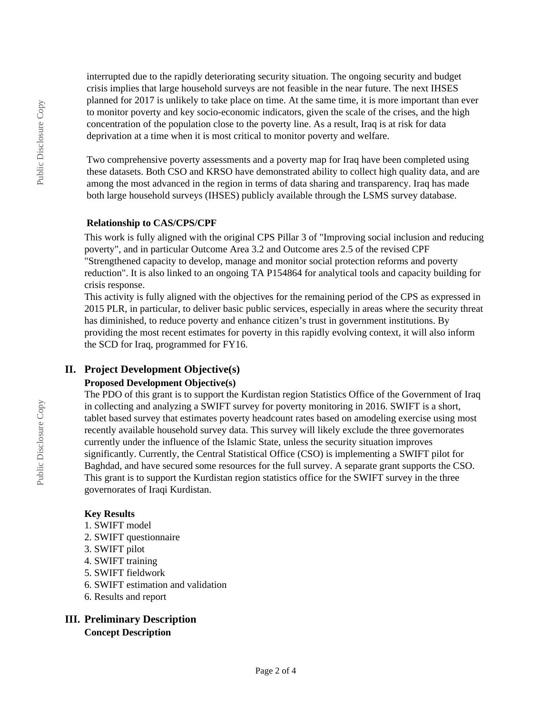interrupted due to the rapidly deteriorating security situation. The ongoing security and budget crisis implies that large household surveys are not feasible in the near future. The next IHSES planned for 2017 is unlikely to take place on time. At the same time, it is more important than ever to monitor poverty and key socio-economic indicators, given the scale of the crises, and the high concentration of the population close to the poverty line. As a result, Iraq is at risk for data deprivation at a time when it is most critical to monitor poverty and welfare.

Two comprehensive poverty assessments and a poverty map for Iraq have been completed using these datasets. Both CSO and KRSO have demonstrated ability to collect high quality data, and are among the most advanced in the region in terms of data sharing and transparency. Iraq has made both large household surveys (IHSES) publicly available through the LSMS survey database.

#### **Relationship to CAS/CPS/CPF**

This work is fully aligned with the original CPS Pillar 3 of "Improving social inclusion and reducing poverty", and in particular Outcome Area 3.2 and Outcome ares 2.5 of the revised CPF "Strengthened capacity to develop, manage and monitor social protection reforms and poverty reduction". It is also linked to an ongoing TA P154864 for analytical tools and capacity building for crisis response.

This activity is fully aligned with the objectives for the remaining period of the CPS as expressed in 2015 PLR, in particular, to deliver basic public services, especially in areas where the security threat has diminished, to reduce poverty and enhance citizen's trust in government institutions. By providing the most recent estimates for poverty in this rapidly evolving context, it will also inform the SCD for Iraq, programmed for FY16.

## **II. Project Development Objective(s)**

## **Proposed Development Objective(s)**

The PDO of this grant is to support the Kurdistan region Statistics Office of the Government of Iraq in collecting and analyzing a SWIFT survey for poverty monitoring in 2016. SWIFT is a short, tablet based survey that estimates poverty headcount rates based on amodeling exercise using most recently available household survey data. This survey will likely exclude the three governorates currently under the influence of the Islamic State, unless the security situation improves significantly. Currently, the Central Statistical Office (CSO) is implementing a SWIFT pilot for Baghdad, and have secured some resources for the full survey. A separate grant supports the CSO. This grant is to support the Kurdistan region statistics office for the SWIFT survey in the three governorates of Iraqi Kurdistan.

### **Key Results**

- 1. SWIFT model
- 2. SWIFT questionnaire
- 3. SWIFT pilot
- 4. SWIFT training
- 5. SWIFT fieldwork
- 6. SWIFT estimation and validation
- 6. Results and report

### **III. Preliminary Description Concept Description**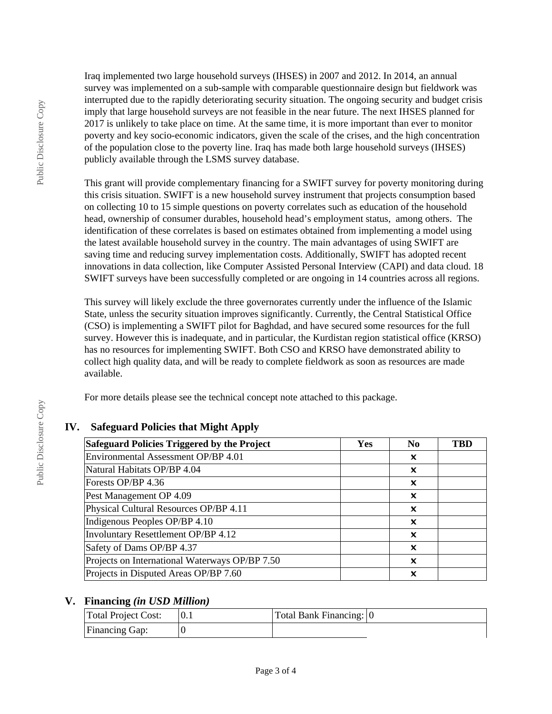Iraq implemented two large household surveys (IHSES) in 2007 and 2012. In 2014, an annual survey was implemented on a sub-sample with comparable questionnaire design but fieldwork was interrupted due to the rapidly deteriorating security situation. The ongoing security and budget crisis imply that large household surveys are not feasible in the near future. The next IHSES planned for 2017 is unlikely to take place on time. At the same time, it is more important than ever to monitor poverty and key socio-economic indicators, given the scale of the crises, and the high concentration of the population close to the poverty line. Iraq has made both large household surveys (IHSES) publicly available through the LSMS survey database.

This grant will provide complementary financing for a SWIFT survey for poverty monitoring during this crisis situation. SWIFT is a new household survey instrument that projects consumption based on collecting 10 to 15 simple questions on poverty correlates such as education of the household head, ownership of consumer durables, household head's employment status, among others. The identification of these correlates is based on estimates obtained from implementing a model using the latest available household survey in the country. The main advantages of using SWIFT are saving time and reducing survey implementation costs. Additionally, SWIFT has adopted recent innovations in data collection, like Computer Assisted Personal Interview (CAPI) and data cloud. 18 SWIFT surveys have been successfully completed or are ongoing in 14 countries across all regions.

This survey will likely exclude the three governorates currently under the influence of the Islamic State, unless the security situation improves significantly. Currently, the Central Statistical Office (CSO) is implementing a SWIFT pilot for Baghdad, and have secured some resources for the full survey. However this is inadequate, and in particular, the Kurdistan region statistical office (KRSO) has no resources for implementing SWIFT. Both CSO and KRSO have demonstrated ability to collect high quality data, and will be ready to complete fieldwork as soon as resources are made available.

For more details please see the technical concept note attached to this package.

# **IV. Safeguard Policies that Might Apply**

| Safeguard Policies Triggered by the Project    | Yes | N <sub>0</sub> | <b>TBD</b> |
|------------------------------------------------|-----|----------------|------------|
| Environmental Assessment OP/BP 4.01            |     | x              |            |
| Natural Habitats OP/BP 4.04                    |     | x              |            |
| Forests OP/BP 4.36                             |     | x              |            |
| Pest Management OP 4.09                        |     | x              |            |
| Physical Cultural Resources OP/BP 4.11         |     | x              |            |
| Indigenous Peoples OP/BP 4.10                  |     | x              |            |
| <b>Involuntary Resettlement OP/BP 4.12</b>     |     | X              |            |
| Safety of Dams OP/BP 4.37                      |     | X              |            |
| Projects on International Waterways OP/BP 7.50 |     | x              |            |
| Projects in Disputed Areas OP/BP 7.60          |     | X              |            |

# **V. Financing** *(in USD Million)*

| Total Project Cost:   | Total Bank Financing: 0 |  |
|-----------------------|-------------------------|--|
| <b>Financing Gap:</b> |                         |  |